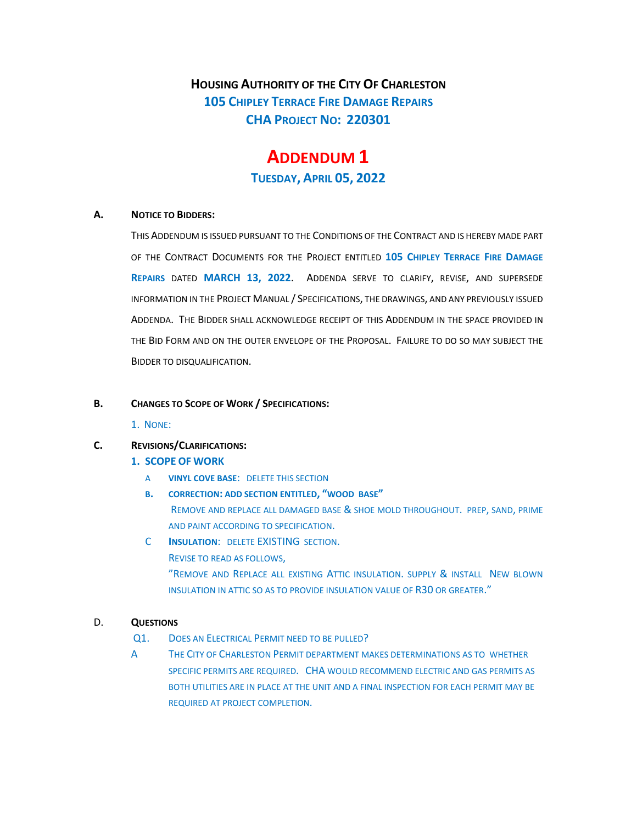**HOUSING AUTHORITY OF THE CITY OF CHARLESTON 105 CHIPLEY TERRACE FIRE DAMAGE REPAIRS CHA PROJECT NO: 220301** 

# **ADDENDUM 1 TUESDAY, APRIL 05, 2022**

#### **A. NOTICE TO BIDDERS:**

THIS ADDENDUM IS ISSUED PURSUANT TO THE CONDITIONS OF THE CONTRACT AND IS HEREBY MADE PART OF THE CONTRACT DOCUMENTS FOR THE PROJECT ENTITLED **105 CHIPLEY TERRACE FIRE DAMAGE REPAIRS** DATED **MARCH 13, 2022**. ADDENDA SERVE TO CLARIFY, REVISE, AND SUPERSEDE INFORMATION IN THE PROJECT MANUAL / SPECIFICATIONS, THE DRAWINGS, AND ANY PREVIOUSLY ISSUED ADDENDA. THE BIDDER SHALL ACKNOWLEDGE RECEIPT OF THIS ADDENDUM IN THE SPACE PROVIDED IN THE BID FORM AND ON THE OUTER ENVELOPE OF THE PROPOSAL. FAILURE TO DO SO MAY SUBJECT THE BIDDER TO DISQUALIFICATION.

### **B. CHANGES TO SCOPE OF WORK / SPECIFICATIONS:**

1. NONE:

# **C. REVISIONS/CLARIFICATIONS:**

## **1. SCOPE OF WORK**

- A **VINYL COVE BASE**: DELETE THIS SECTION
- **B. CORRECTION: ADD SECTION ENTITLED, "WOOD BASE"** REMOVE AND REPLACE ALL DAMAGED BASE & SHOE MOLD THROUGHOUT. PREP, SAND, PRIME AND PAINT ACCORDING TO SPECIFICATION.
- C **INSULATION**: DELETE EXISTING SECTION. REVISE TO READ AS FOLLOWS, "REMOVE AND REPLACE ALL EXISTING ATTIC INSULATION. SUPPLY & INSTALL NEW BLOWN INSULATION IN ATTIC SO AS TO PROVIDE INSULATION VALUE OF R30 OR GREATER."

# D. **QUESTIONS**

- Q1. DOES AN ELECTRICAL PERMIT NEED TO BE PULLED?
- A THE CITY OF CHARLESTON PERMIT DEPARTMENT MAKES DETERMINATIONS AS TO WHETHER SPECIFIC PERMITS ARE REQUIRED. CHA WOULD RECOMMEND ELECTRIC AND GAS PERMITS AS BOTH UTILITIES ARE IN PLACE AT THE UNIT AND A FINAL INSPECTION FOR EACH PERMIT MAY BE REQUIRED AT PROJECT COMPLETION.